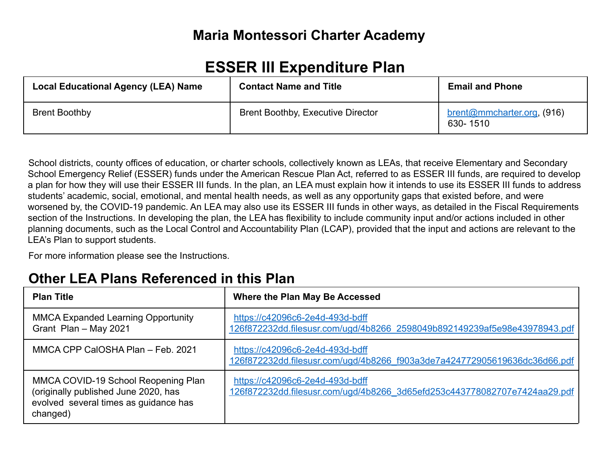# **Maria Montessori Charter Academy**

# **ESSER III Expenditure Plan**

| <b>Local Educational Agency (LEA) Name</b> | <b>Contact Name and Title</b>            | <b>Email and Phone</b>                 |
|--------------------------------------------|------------------------------------------|----------------------------------------|
| <b>Brent Boothby</b>                       | <b>Brent Boothby, Executive Director</b> | brent@mmcharter.org, (916)<br>630-1510 |

School districts, county offices of education, or charter schools, collectively known as LEAs, that receive Elementary and Secondary School Emergency Relief (ESSER) funds under the American Rescue Plan Act, referred to as ESSER III funds, are required to develop a plan for how they will use their ESSER III funds. In the plan, an LEA must explain how it intends to use its ESSER III funds to address students' academic, social, emotional, and mental health needs, as well as any opportunity gaps that existed before, and were worsened by, the COVID-19 pandemic. An LEA may also use its ESSER III funds in other ways, as detailed in the Fiscal Requirements section of the Instructions. In developing the plan, the LEA has flexibility to include community input and/or actions included in other planning documents, such as the Local Control and Accountability Plan (LCAP), provided that the input and actions are relevant to the LEA's Plan to support students.

For more information please see the Instructions.

# **Other LEA Plans Referenced in this Plan**

| <b>Plan Title</b>                                                                                                                | Where the Plan May Be Accessed                                                                               |
|----------------------------------------------------------------------------------------------------------------------------------|--------------------------------------------------------------------------------------------------------------|
| <b>MMCA Expanded Learning Opportunity</b><br>Grant Plan - May 2021                                                               | https://c42096c6-2e4d-493d-bdff<br>126f872232dd.filesusr.com/ugd/4b8266 2598049b892149239af5e98e43978943.pdf |
| MMCA CPP CalOSHA Plan - Feb. 2021                                                                                                | https://c42096c6-2e4d-493d-bdff<br>126f872232dd.filesusr.com/ugd/4b8266_f903a3de7a424772905619636dc36d66.pdf |
| MMCA COVID-19 School Reopening Plan<br>(originally published June 2020, has<br>evolved several times as guidance has<br>changed) | https://c42096c6-2e4d-493d-bdff<br>126f872232dd.filesusr.com/ugd/4b8266_3d65efd253c443778082707e7424aa29.pdf |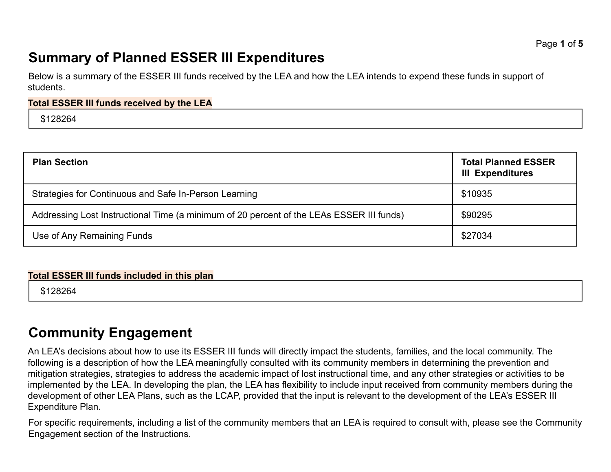# **Summary of Planned ESSER III Expenditures**

Below is a summary of the ESSER III funds received by the LEA and how the LEA intends to expend these funds in support of students.

#### **Total ESSER III funds received by the LEA**

\$128264

| <b>Plan Section</b>                                                                      | <b>Total Planned ESSER</b><br><b>III Expenditures</b> |
|------------------------------------------------------------------------------------------|-------------------------------------------------------|
| Strategies for Continuous and Safe In-Person Learning                                    | \$10935                                               |
| Addressing Lost Instructional Time (a minimum of 20 percent of the LEAs ESSER III funds) | \$90295                                               |
| Use of Any Remaining Funds                                                               | \$27034                                               |

#### **Total ESSER III funds included in this plan**

\$128264

# **Community Engagement**

An LEA's decisions about how to use its ESSER III funds will directly impact the students, families, and the local community. The following is a description of how the LEA meaningfully consulted with its community members in determining the prevention and mitigation strategies, strategies to address the academic impact of lost instructional time, and any other strategies or activities to be implemented by the LEA. In developing the plan, the LEA has flexibility to include input received from community members during the development of other LEA Plans, such as the LCAP, provided that the input is relevant to the development of the LEA's ESSER III Expenditure Plan.

For specific requirements, including a list of the community members that an LEA is required to consult with, please see the Community Engagement section of the Instructions.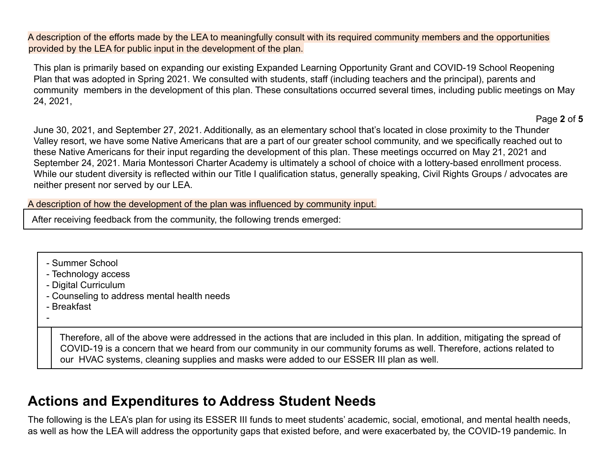A description of the efforts made by the LEA to meaningfully consult with its required community members and the opportunities provided by the LEA for public input in the development of the plan.

This plan is primarily based on expanding our existing Expanded Learning Opportunity Grant and COVID-19 School Reopening Plan that was adopted in Spring 2021. We consulted with students, staff (including teachers and the principal), parents and community members in the development of this plan. These consultations occurred several times, including public meetings on May 24, 2021,

Page **2** of **5**

June 30, 2021, and September 27, 2021. Additionally, as an elementary school that's located in close proximity to the Thunder Valley resort, we have some Native Americans that are a part of our greater school community, and we specifically reached out to these Native Americans for their input regarding the development of this plan. These meetings occurred on May 21, 2021 and September 24, 2021. Maria Montessori Charter Academy is ultimately a school of choice with a lottery-based enrollment process. While our student diversity is reflected within our Title I qualification status, generally speaking, Civil Rights Groups / advocates are neither present nor served by our LEA.

A description of how the development of the plan was influenced by community input.

After receiving feedback from the community, the following trends emerged:

- Summer School
- Technology access
- Digital Curriculum
- Counseling to address mental health needs
- Breakfast
- -

Therefore, all of the above were addressed in the actions that are included in this plan. In addition, mitigating the spread of COVID-19 is a concern that we heard from our community in our community forums as well. Therefore, actions related to our HVAC systems, cleaning supplies and masks were added to our ESSER III plan as well.

# **Actions and Expenditures to Address Student Needs**

The following is the LEA's plan for using its ESSER III funds to meet students' academic, social, emotional, and mental health needs, as well as how the LEA will address the opportunity gaps that existed before, and were exacerbated by, the COVID-19 pandemic. In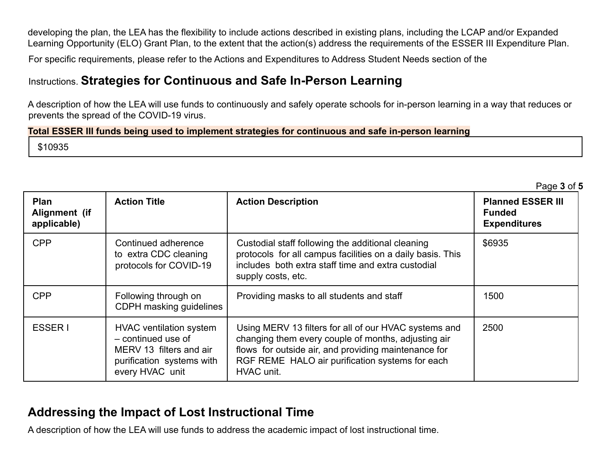developing the plan, the LEA has the flexibility to include actions described in existing plans, including the LCAP and/or Expanded Learning Opportunity (ELO) Grant Plan, to the extent that the action(s) address the requirements of the ESSER III Expenditure Plan.

For specific requirements, please refer to the Actions and Expenditures to Address Student Needs section of the

### Instructions. **Strategies for Continuous and Safe In-Person Learning**

A description of how the LEA will use funds to continuously and safely operate schools for in-person learning in a way that reduces or prevents the spread of the COVID-19 virus.

#### **Total ESSER III funds being used to implement strategies for continuous and safe in-person learning**

\$10935

|                                      |                                                                                                                                 |                                                                                                                                                                                                                                       | Page 3 of 5                                                      |
|--------------------------------------|---------------------------------------------------------------------------------------------------------------------------------|---------------------------------------------------------------------------------------------------------------------------------------------------------------------------------------------------------------------------------------|------------------------------------------------------------------|
| Plan<br>Alignment (if<br>applicable) | <b>Action Title</b>                                                                                                             | <b>Action Description</b>                                                                                                                                                                                                             | <b>Planned ESSER III</b><br><b>Funded</b><br><b>Expenditures</b> |
| <b>CPP</b>                           | Continued adherence<br>to extra CDC cleaning<br>protocols for COVID-19                                                          | Custodial staff following the additional cleaning<br>protocols for all campus facilities on a daily basis. This<br>includes both extra staff time and extra custodial<br>supply costs, etc.                                           | \$6935                                                           |
| <b>CPP</b>                           | Following through on<br>CDPH masking guidelines                                                                                 | Providing masks to all students and staff                                                                                                                                                                                             | 1500                                                             |
| <b>ESSER1</b>                        | <b>HVAC</b> ventilation system<br>- continued use of<br>MERV 13 filters and air<br>purification systems with<br>every HVAC unit | Using MERV 13 filters for all of our HVAC systems and<br>changing them every couple of months, adjusting air<br>flows for outside air, and providing maintenance for<br>RGF REME HALO air purification systems for each<br>HVAC unit. | 2500                                                             |

### **Addressing the Impact of Lost Instructional Time**

A description of how the LEA will use funds to address the academic impact of lost instructional time.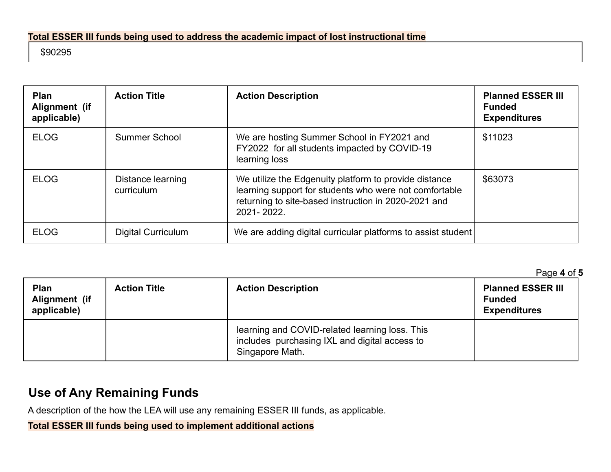#### **Total ESSER III funds being used to address the academic impact of lost instructional time**

#### \$90295

| <b>Plan</b><br>Alignment (if<br>applicable) | <b>Action Title</b>             | <b>Action Description</b>                                                                                                                                                             | <b>Planned ESSER III</b><br><b>Funded</b><br><b>Expenditures</b> |
|---------------------------------------------|---------------------------------|---------------------------------------------------------------------------------------------------------------------------------------------------------------------------------------|------------------------------------------------------------------|
| <b>ELOG</b>                                 | Summer School                   | We are hosting Summer School in FY2021 and<br>FY2022 for all students impacted by COVID-19<br>learning loss                                                                           | \$11023                                                          |
| <b>ELOG</b>                                 | Distance learning<br>curriculum | We utilize the Edgenuity platform to provide distance<br>learning support for students who were not comfortable<br>returning to site-based instruction in 2020-2021 and<br>2021-2022. | \$63073                                                          |
| <b>ELOG</b>                                 | <b>Digital Curriculum</b>       | We are adding digital curricular platforms to assist student                                                                                                                          |                                                                  |

Page **4** of **5**

| <b>Plan</b><br>Alignment (if<br>applicable) | <b>Action Title</b> | <b>Action Description</b>                                                                                          | ⊤ay <del>c</del> ↔ ∪⊢;<br><b>Planned ESSER III</b><br><b>Funded</b><br><b>Expenditures</b> |
|---------------------------------------------|---------------------|--------------------------------------------------------------------------------------------------------------------|--------------------------------------------------------------------------------------------|
|                                             |                     | learning and COVID-related learning loss. This<br>includes purchasing IXL and digital access to<br>Singapore Math. |                                                                                            |

# **Use of Any Remaining Funds**

A description of the how the LEA will use any remaining ESSER III funds, as applicable.

**Total ESSER III funds being used to implement additional actions**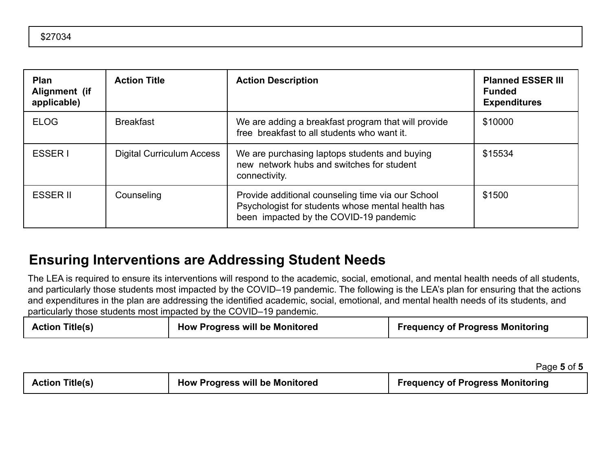| <b>Plan</b><br>Alignment (if<br>applicable) | <b>Action Title</b>              | <b>Action Description</b>                                                                                                                        | <b>Planned ESSER III</b><br><b>Funded</b><br><b>Expenditures</b> |
|---------------------------------------------|----------------------------------|--------------------------------------------------------------------------------------------------------------------------------------------------|------------------------------------------------------------------|
| <b>ELOG</b>                                 | <b>Breakfast</b>                 | We are adding a breakfast program that will provide<br>free breakfast to all students who want it.                                               | \$10000                                                          |
| ESSER I                                     | <b>Digital Curriculum Access</b> | We are purchasing laptops students and buying<br>new network hubs and switches for student<br>connectivity.                                      | \$15534                                                          |
| <b>ESSER II</b>                             | Counseling                       | Provide additional counseling time via our School<br>Psychologist for students whose mental health has<br>been impacted by the COVID-19 pandemic | \$1500                                                           |

# **Ensuring Interventions are Addressing Student Needs**

The LEA is required to ensure its interventions will respond to the academic, social, emotional, and mental health needs of all students, and particularly those students most impacted by the COVID–19 pandemic. The following is the LEA's plan for ensuring that the actions and expenditures in the plan are addressing the identified academic, social, emotional, and mental health needs of its students, and particularly those students most impacted by the COVID–19 pandemic.

| <b>Action Title(s)</b> | <b>How Progress will be Monitored</b> | <b>Frequency of Progress Monitoring</b> |
|------------------------|---------------------------------------|-----------------------------------------|
|------------------------|---------------------------------------|-----------------------------------------|

Page **5** of **5**

| <b>Action Title(s)</b> | <b>How Progress will be Monitored</b> | <b>Frequency of Progress Monitoring</b> |
|------------------------|---------------------------------------|-----------------------------------------|
|                        |                                       |                                         |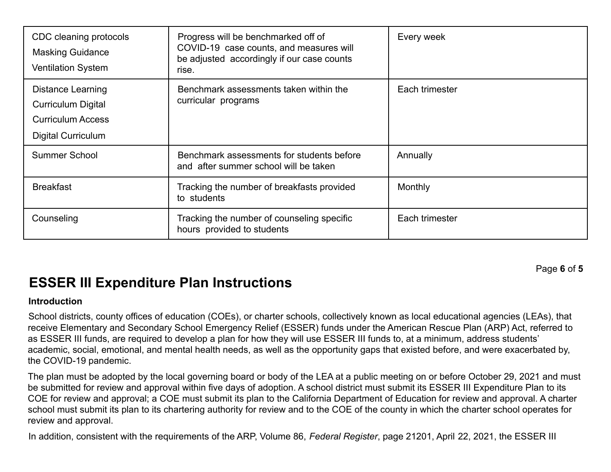| CDC cleaning protocols<br><b>Masking Guidance</b><br><b>Ventilation System</b>                          | Progress will be benchmarked off of<br>COVID-19 case counts, and measures will<br>be adjusted accordingly if our case counts<br>rise. | Every week     |
|---------------------------------------------------------------------------------------------------------|---------------------------------------------------------------------------------------------------------------------------------------|----------------|
| Distance Learning<br><b>Curriculum Digital</b><br><b>Curriculum Access</b><br><b>Digital Curriculum</b> | Benchmark assessments taken within the<br>curricular programs                                                                         | Each trimester |
| Summer School                                                                                           | Benchmark assessments for students before<br>and after summer school will be taken                                                    | Annually       |
| <b>Breakfast</b>                                                                                        | Tracking the number of breakfasts provided<br>to students                                                                             | Monthly        |
| Counseling                                                                                              | Tracking the number of counseling specific<br>hours provided to students                                                              | Each trimester |

Page **6** of **5**

# **ESSER III Expenditure Plan Instructions**

#### **Introduction**

School districts, county offices of education (COEs), or charter schools, collectively known as local educational agencies (LEAs), that receive Elementary and Secondary School Emergency Relief (ESSER) funds under the American Rescue Plan (ARP) Act, referred to as ESSER III funds, are required to develop a plan for how they will use ESSER III funds to, at a minimum, address students' academic, social, emotional, and mental health needs, as well as the opportunity gaps that existed before, and were exacerbated by, the COVID-19 pandemic.

The plan must be adopted by the local governing board or body of the LEA at a public meeting on or before October 29, 2021 and must be submitted for review and approval within five days of adoption. A school district must submit its ESSER III Expenditure Plan to its COE for review and approval; a COE must submit its plan to the California Department of Education for review and approval. A charter school must submit its plan to its chartering authority for review and to the COE of the county in which the charter school operates for review and approval.

In addition, consistent with the requirements of the ARP, Volume 86, *Federal Register*, page 21201, April 22, 2021, the ESSER III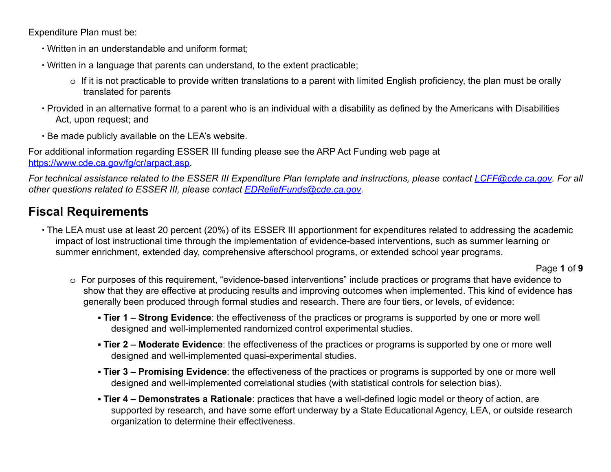Expenditure Plan must be:

- ∙ Written in an understandable and uniform format;
- ∙ Written in a language that parents can understand, to the extent practicable;
	- $\circ$  If it is not practicable to provide written translations to a parent with limited English proficiency, the plan must be orally translated for parents
- ∙ Provided in an alternative format to a parent who is an individual with a disability as defined by the Americans with Disabilities Act, upon request; and
- ∙ Be made publicly available on the LEA's website.

For additional information regarding ESSER III funding please see the ARP Act Funding web page at https://www.cde.ca.gov/fg/cr/arpact.asp.

*For technical assistance related to the ESSER III Expenditure Plan template and instructions, please contact LCFF@cde.ca.gov. For all other questions related to ESSER III, please contact EDReliefFunds@cde.ca.gov.*

## **Fiscal Requirements**

∙ The LEA must use at least 20 percent (20%) of its ESSER III apportionment for expenditures related to addressing the academic impact of lost instructional time through the implementation of evidence-based interventions, such as summer learning or summer enrichment, extended day, comprehensive afterschool programs, or extended school year programs.

#### Page **1** of **9**

- o For purposes of this requirement, "evidence-based interventions" include practices or programs that have evidence to show that they are effective at producing results and improving outcomes when implemented. This kind of evidence has generally been produced through formal studies and research. There are four tiers, or levels, of evidence:
	- **Tier 1 Strong Evidence**: the effectiveness of the practices or programs is supported by one or more well designed and well-implemented randomized control experimental studies.
	- **Tier 2 Moderate Evidence**: the effectiveness of the practices or programs is supported by one or more well designed and well-implemented quasi-experimental studies.
	- **Tier 3 Promising Evidence**: the effectiveness of the practices or programs is supported by one or more well designed and well-implemented correlational studies (with statistical controls for selection bias).
	- **Tier 4 Demonstrates a Rationale**: practices that have a well-defined logic model or theory of action, are supported by research, and have some effort underway by a State Educational Agency, LEA, or outside research organization to determine their effectiveness.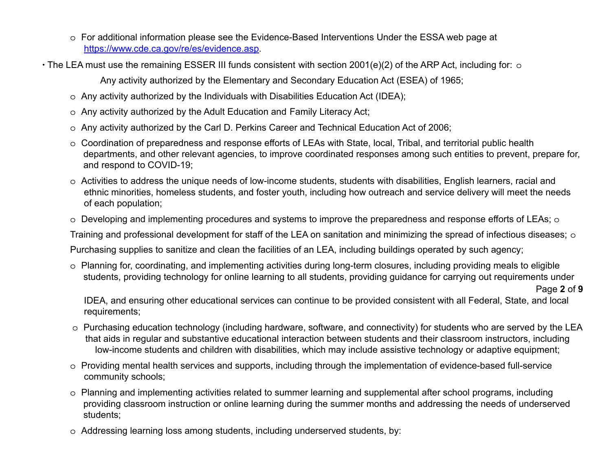o For additional information please see the Evidence-Based Interventions Under the ESSA web page at https://www.cde.ca.gov/re/es/evidence.asp.

∙ The LEA must use the remaining ESSER III funds consistent with section 2001(e)(2) of the ARP Act, including for: o

Any activity authorized by the Elementary and Secondary Education Act (ESEA) of 1965;

- o Any activity authorized by the Individuals with Disabilities Education Act (IDEA);
- o Any activity authorized by the Adult Education and Family Literacy Act;
- o Any activity authorized by the Carl D. Perkins Career and Technical Education Act of 2006;
- o Coordination of preparedness and response efforts of LEAs with State, local, Tribal, and territorial public health departments, and other relevant agencies, to improve coordinated responses among such entities to prevent, prepare for, and respond to COVID-19;
- o Activities to address the unique needs of low-income students, students with disabilities, English learners, racial and ethnic minorities, homeless students, and foster youth, including how outreach and service delivery will meet the needs of each population;
- o Developing and implementing procedures and systems to improve the preparedness and response efforts of LEAs; o

Training and professional development for staff of the LEA on sanitation and minimizing the spread of infectious diseases;  $\circ$ 

Purchasing supplies to sanitize and clean the facilities of an LEA, including buildings operated by such agency;

o Planning for, coordinating, and implementing activities during long-term closures, including providing meals to eligible students, providing technology for online learning to all students, providing guidance for carrying out requirements under

Page **2** of **9**

IDEA, and ensuring other educational services can continue to be provided consistent with all Federal, State, and local requirements;

- o Purchasing education technology (including hardware, software, and connectivity) for students who are served by the LEA that aids in regular and substantive educational interaction between students and their classroom instructors, including low-income students and children with disabilities, which may include assistive technology or adaptive equipment;
- o Providing mental health services and supports, including through the implementation of evidence-based full-service community schools;
- o Planning and implementing activities related to summer learning and supplemental after school programs, including providing classroom instruction or online learning during the summer months and addressing the needs of underserved students;
- o Addressing learning loss among students, including underserved students, by: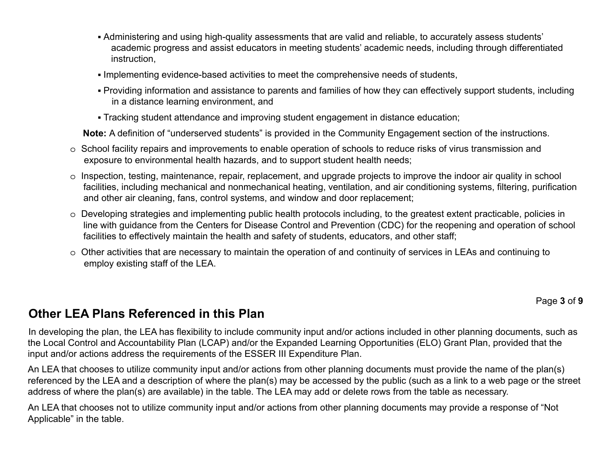- Administering and using high-quality assessments that are valid and reliable, to accurately assess students' academic progress and assist educators in meeting students' academic needs, including through differentiated instruction,
- Implementing evidence-based activities to meet the comprehensive needs of students,
- Providing information and assistance to parents and families of how they can effectively support students, including in a distance learning environment, and
- Tracking student attendance and improving student engagement in distance education;

**Note:** A definition of "underserved students" is provided in the Community Engagement section of the instructions.

- o School facility repairs and improvements to enable operation of schools to reduce risks of virus transmission and exposure to environmental health hazards, and to support student health needs;
- o Inspection, testing, maintenance, repair, replacement, and upgrade projects to improve the indoor air quality in school facilities, including mechanical and nonmechanical heating, ventilation, and air conditioning systems, filtering, purification and other air cleaning, fans, control systems, and window and door replacement;
- o Developing strategies and implementing public health protocols including, to the greatest extent practicable, policies in line with guidance from the Centers for Disease Control and Prevention (CDC) for the reopening and operation of school facilities to effectively maintain the health and safety of students, educators, and other staff;
- o Other activities that are necessary to maintain the operation of and continuity of services in LEAs and continuing to employ existing staff of the LEA.

Page **3** of **9**

### **Other LEA Plans Referenced in this Plan**

In developing the plan, the LEA has flexibility to include community input and/or actions included in other planning documents, such as the Local Control and Accountability Plan (LCAP) and/or the Expanded Learning Opportunities (ELO) Grant Plan, provided that the input and/or actions address the requirements of the ESSER III Expenditure Plan.

An LEA that chooses to utilize community input and/or actions from other planning documents must provide the name of the plan(s) referenced by the LEA and a description of where the plan(s) may be accessed by the public (such as a link to a web page or the street address of where the plan(s) are available) in the table. The LEA may add or delete rows from the table as necessary.

An LEA that chooses not to utilize community input and/or actions from other planning documents may provide a response of "Not Applicable" in the table.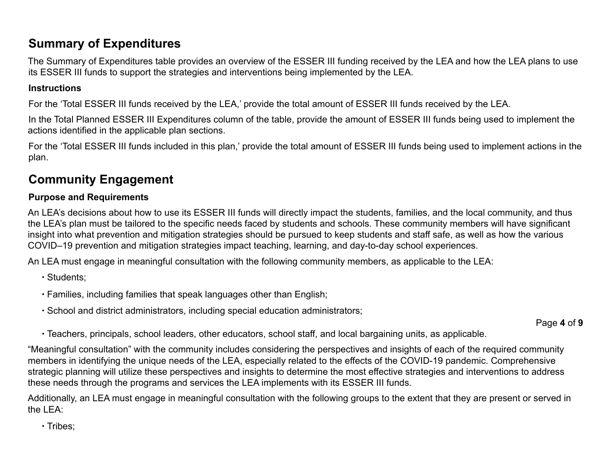## **Summary of Expenditures**

The Summary of Expenditures table provides an overview of the ESSER III funding received by the LEA and how the LEA plans to use its ESSER III funds to support the strategies and interventions being implemented by the LEA.

#### **Instructions**

For the 'Total ESSER III funds received by the LEA,' provide the total amount of ESSER III funds received by the LEA.

In the Total Planned ESSER III Expenditures column of the table, provide the amount of ESSER III funds being used to implement the actions identified in the applicable plan sections.

For the 'Total ESSER III funds included in this plan,' provide the total amount of ESSER III funds being used to implement actions in the plan.

## **Community Engagement**

#### **Purpose and Requirements**

An LEA's decisions about how to use its ESSER III funds will directly impact the students, families, and the local community, and thus the LEA's plan must be tailored to the specific needs faced by students and schools. These community members will have significant insight into what prevention and mitigation strategies should be pursued to keep students and staff safe, as well as how the various COVID–19 prevention and mitigation strategies impact teaching, learning, and day-to-day school experiences.

An LEA must engage in meaningful consultation with the following community members, as applicable to the LEA:

∙ Students;

- ∙ Families, including families that speak languages other than English;
- ∙ School and district administrators, including special education administrators;

Page **4** of **9**

∙ Teachers, principals, school leaders, other educators, school staff, and local bargaining units, as applicable.

"Meaningful consultation" with the community includes considering the perspectives and insights of each of the required community members in identifying the unique needs of the LEA, especially related to the effects of the COVID-19 pandemic. Comprehensive strategic planning will utilize these perspectives and insights to determine the most effective strategies and interventions to address these needs through the programs and services the LEA implements with its ESSER III funds.

Additionally, an LEA must engage in meaningful consultation with the following groups to the extent that they are present or served in the  $IFA$ 

∙ Tribes;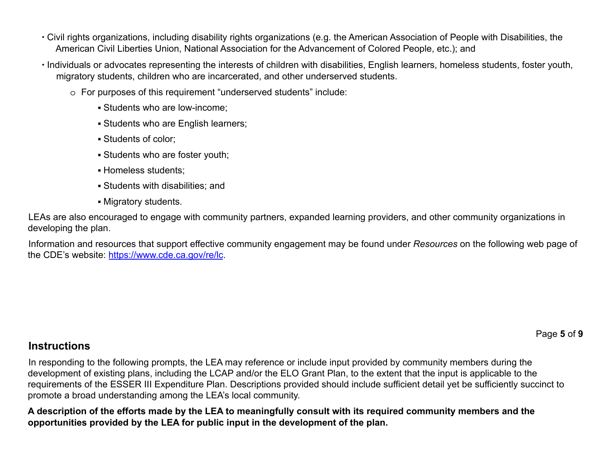- ∙ Civil rights organizations, including disability rights organizations (e.g. the American Association of People with Disabilities, the American Civil Liberties Union, National Association for the Advancement of Colored People, etc.); and
- ∙ Individuals or advocates representing the interests of children with disabilities, English learners, homeless students, foster youth, migratory students, children who are incarcerated, and other underserved students.
	- o For purposes of this requirement "underserved students" include:
		- Students who are low-income;
		- **· Students who are English learners;**
		- Students of color;
		- Students who are foster youth;
		- Homeless students;
		- Students with disabilities; and
		- Migratory students.

LEAs are also encouraged to engage with community partners, expanded learning providers, and other community organizations in developing the plan.

Information and resources that support effective community engagement may be found under *Resources* on the following web page of the CDE's website: https://www.cde.ca.gov/re/lc.

Page **5** of **9**

### **Instructions**

In responding to the following prompts, the LEA may reference or include input provided by community members during the development of existing plans, including the LCAP and/or the ELO Grant Plan, to the extent that the input is applicable to the requirements of the ESSER III Expenditure Plan. Descriptions provided should include sufficient detail yet be sufficiently succinct to promote a broad understanding among the LEA's local community.

**A description of the efforts made by the LEA to meaningfully consult with its required community members and the opportunities provided by the LEA for public input in the development of the plan.**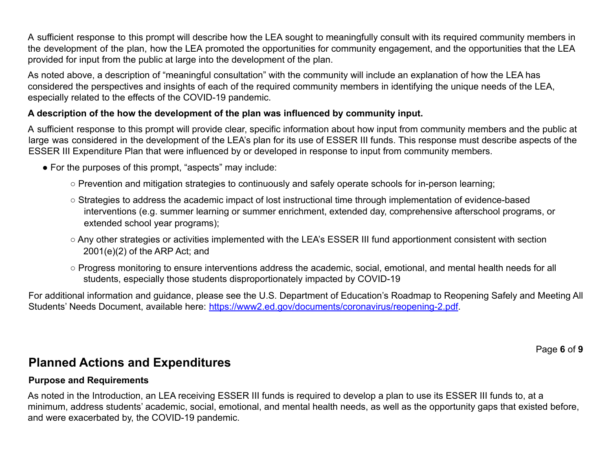A sufficient response to this prompt will describe how the LEA sought to meaningfully consult with its required community members in the development of the plan, how the LEA promoted the opportunities for community engagement, and the opportunities that the LEA provided for input from the public at large into the development of the plan.

As noted above, a description of "meaningful consultation" with the community will include an explanation of how the LEA has considered the perspectives and insights of each of the required community members in identifying the unique needs of the LEA, especially related to the effects of the COVID-19 pandemic.

#### **A description of the how the development of the plan was influenced by community input.**

A sufficient response to this prompt will provide clear, specific information about how input from community members and the public at large was considered in the development of the LEA's plan for its use of ESSER III funds. This response must describe aspects of the ESSER III Expenditure Plan that were influenced by or developed in response to input from community members.

- For the purposes of this prompt, "aspects" may include:
	- Prevention and mitigation strategies to continuously and safely operate schools for in-person learning;
	- Strategies to address the academic impact of lost instructional time through implementation of evidence-based interventions (e.g. summer learning or summer enrichment, extended day, comprehensive afterschool programs, or extended school year programs);
	- Any other strategies or activities implemented with the LEA's ESSER III fund apportionment consistent with section 2001(e)(2) of the ARP Act; and
	- Progress monitoring to ensure interventions address the academic, social, emotional, and mental health needs for all students, especially those students disproportionately impacted by COVID-19

For additional information and guidance, please see the U.S. Department of Education's Roadmap to Reopening Safely and Meeting All Students' Needs Document, available here: https://www2.ed.gov/documents/coronavirus/reopening-2.pdf.

Page **6** of **9**

### **Planned Actions and Expenditures**

#### **Purpose and Requirements**

As noted in the Introduction, an LEA receiving ESSER III funds is required to develop a plan to use its ESSER III funds to, at a minimum, address students' academic, social, emotional, and mental health needs, as well as the opportunity gaps that existed before, and were exacerbated by, the COVID-19 pandemic.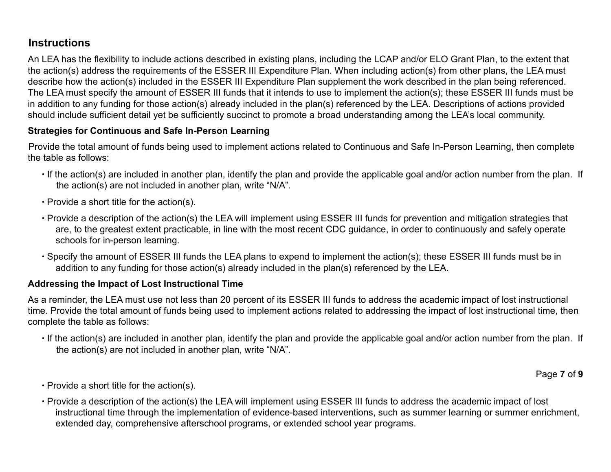### **Instructions**

An LEA has the flexibility to include actions described in existing plans, including the LCAP and/or ELO Grant Plan, to the extent that the action(s) address the requirements of the ESSER III Expenditure Plan. When including action(s) from other plans, the LEA must describe how the action(s) included in the ESSER III Expenditure Plan supplement the work described in the plan being referenced. The LEA must specify the amount of ESSER III funds that it intends to use to implement the action(s); these ESSER III funds must be in addition to any funding for those action(s) already included in the plan(s) referenced by the LEA. Descriptions of actions provided should include sufficient detail yet be sufficiently succinct to promote a broad understanding among the LEA's local community.

#### **Strategies for Continuous and Safe In-Person Learning**

Provide the total amount of funds being used to implement actions related to Continuous and Safe In-Person Learning, then complete the table as follows:

- ∙ If the action(s) are included in another plan, identify the plan and provide the applicable goal and/or action number from the plan. If the action(s) are not included in another plan, write "N/A".
- ∙ Provide a short title for the action(s).
- ∙ Provide a description of the action(s) the LEA will implement using ESSER III funds for prevention and mitigation strategies that are, to the greatest extent practicable, in line with the most recent CDC guidance, in order to continuously and safely operate schools for in-person learning.
- ∙ Specify the amount of ESSER III funds the LEA plans to expend to implement the action(s); these ESSER III funds must be in addition to any funding for those action(s) already included in the plan(s) referenced by the LEA.

#### **Addressing the Impact of Lost Instructional Time**

As a reminder, the LEA must use not less than 20 percent of its ESSER III funds to address the academic impact of lost instructional time. Provide the total amount of funds being used to implement actions related to addressing the impact of lost instructional time, then complete the table as follows:

∙ If the action(s) are included in another plan, identify the plan and provide the applicable goal and/or action number from the plan. If the action(s) are not included in another plan, write "N/A".

Page **7** of **9**

- ∙ Provide a short title for the action(s).
- ∙ Provide a description of the action(s) the LEA will implement using ESSER III funds to address the academic impact of lost instructional time through the implementation of evidence-based interventions, such as summer learning or summer enrichment, extended day, comprehensive afterschool programs, or extended school year programs.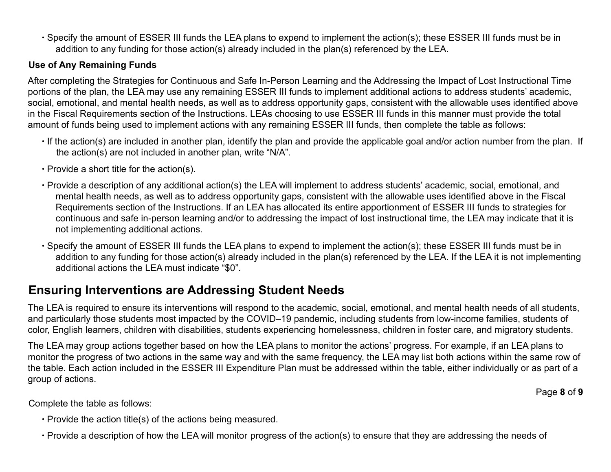∙ Specify the amount of ESSER III funds the LEA plans to expend to implement the action(s); these ESSER III funds must be in addition to any funding for those action(s) already included in the plan(s) referenced by the LEA.

#### **Use of Any Remaining Funds**

After completing the Strategies for Continuous and Safe In-Person Learning and the Addressing the Impact of Lost Instructional Time portions of the plan, the LEA may use any remaining ESSER III funds to implement additional actions to address students' academic, social, emotional, and mental health needs, as well as to address opportunity gaps, consistent with the allowable uses identified above in the Fiscal Requirements section of the Instructions. LEAs choosing to use ESSER III funds in this manner must provide the total amount of funds being used to implement actions with any remaining ESSER III funds, then complete the table as follows:

- ∙ If the action(s) are included in another plan, identify the plan and provide the applicable goal and/or action number from the plan. If the action(s) are not included in another plan, write "N/A".
- ∙ Provide a short title for the action(s).
- ∙ Provide a description of any additional action(s) the LEA will implement to address students' academic, social, emotional, and mental health needs, as well as to address opportunity gaps, consistent with the allowable uses identified above in the Fiscal Requirements section of the Instructions. If an LEA has allocated its entire apportionment of ESSER III funds to strategies for continuous and safe in-person learning and/or to addressing the impact of lost instructional time, the LEA may indicate that it is not implementing additional actions.
- ∙ Specify the amount of ESSER III funds the LEA plans to expend to implement the action(s); these ESSER III funds must be in addition to any funding for those action(s) already included in the plan(s) referenced by the LEA. If the LEA it is not implementing additional actions the LEA must indicate "\$0".

### **Ensuring Interventions are Addressing Student Needs**

The LEA is required to ensure its interventions will respond to the academic, social, emotional, and mental health needs of all students, and particularly those students most impacted by the COVID–19 pandemic, including students from low-income families, students of color, English learners, children with disabilities, students experiencing homelessness, children in foster care, and migratory students.

The LEA may group actions together based on how the LEA plans to monitor the actions' progress. For example, if an LEA plans to monitor the progress of two actions in the same way and with the same frequency, the LEA may list both actions within the same row of the table. Each action included in the ESSER III Expenditure Plan must be addressed within the table, either individually or as part of a group of actions.

Page **8** of **9**

- Complete the table as follows:
	- ∙ Provide the action title(s) of the actions being measured.
	- ∙ Provide a description of how the LEA will monitor progress of the action(s) to ensure that they are addressing the needs of